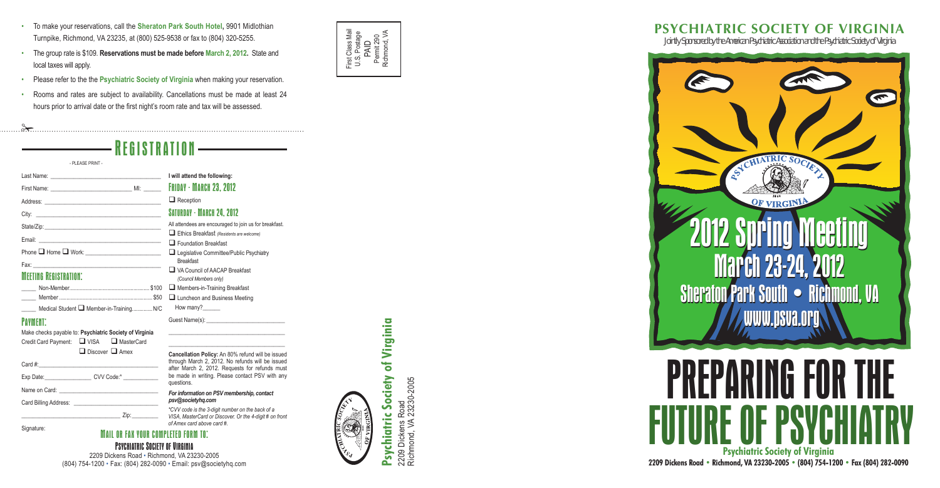\_\_\_\_\_\_\_\_\_\_\_\_\_\_\_\_\_\_\_\_\_\_\_\_\_\_\_\_\_\_\_\_\_\_\_\_\_\_\_\_ \_\_\_\_\_\_\_\_\_\_\_\_\_\_\_\_\_\_\_\_\_\_\_\_\_\_\_\_\_\_\_\_\_\_\_\_\_\_\_\_

| Medical Student Member-in-Training N/C | How many?                                                                                                                                                                                                                      |
|----------------------------------------|--------------------------------------------------------------------------------------------------------------------------------------------------------------------------------------------------------------------------------|
| <b>PAYMENT:</b>                        | Guest Name(s): The Contract of the Contract of the Contract of the Contract of the Contract of the Contract of the Contract of the Contract of the Contract of the Contract of the Contract of the Contract of the Contract of |
|                                        |                                                                                                                                                                                                                                |

2209 Dickens Road<br>Richmond, VA 23230-2005 Richmond, VA 23230-2005 2209 Dickens Road

#### MAIL OR FAX YOUR COMPLETED FORM TO l<br>|<br>| f :

#### PSYCHIATRIC SOCIETY OF UIRGINIA i

**Cancellation Policy:** An 80% refund will be issued through March 2, 2012. No refunds will be issued after March 2, 2012. Requests for refunds must be made in writing. Please contact PSV with any

Make checks payable to: **Psychiatric Society of Virginia**  Credit Card Payment: Q VISA Q MasterCard Discover **Q** Amex

## Pay ment

Email:



# of Virginia **Psychiatric Society of Virginia** Society Psychiatric

- To make your reservations, call the Sheraton Park South Hotel, 9901 Midlothian Turnpike, Richmond, VA 23235, at (800) 525-9538 or fax to (804) 320-5255.
- The group rate is \$109. **Reservations must be made before March 2, 2012.** State and local taxes will apply.
- Please refer to the the **Psychiatric Society of Virginia** when making your reservation.
- Rooms and rates are subject to availability. Cancellations must be made at least 24 hours prior to arrival date or the first night's room rate and tax will be assessed.

 $\approx$ 

## REGISTRATION **I will attend the following:** Friday - March 23, 2012  $\Box$  Reception SATURDAY - MARCH 24, 2012 All attendees are encouraged to join us for breakfast. q Ethics Breakfast *(Residents are welcome)*  $\Box$  Foundation Breakfast **Q** Legislative Committee/Public Psychiatry Breakfast □ VA Council of AACAP Breakfast *(Council Members only)*  $.$  \$100  $\Box$  Members-in-Training Breakfast - PLEASE PRINT - Last Name: First Name: \_\_\_\_\_\_\_\_\_\_\_\_\_\_\_\_\_\_\_\_\_\_\_\_\_\_\_\_ MI: \_\_\_\_\_\_ Address: City: State/Zip: Phone  $\square$  Home  $\square$  Work : \_\_\_\_\_\_\_\_\_\_\_\_\_\_\_\_\_\_\_\_\_\_\_\_\_\_ Fax: \_\_\_\_\_\_\_\_\_\_\_\_\_\_\_\_\_\_\_\_\_\_\_\_\_\_\_\_\_\_\_\_\_\_\_\_\_\_\_\_\_\_\_\_ **MEETING REGISTRATION:** Non-Member. For make your reservations, call the Sheraton Park South Hotel<br>
Tumpike, Richmond, VA 23235, at (800) 525-9538 or fax to (804<br>
The group rate is \$109. Reservations must be made before March<br>
Coal taxes will apply.<br>
Pleas

*For information on PSV membership, contact*

*psv@societyhq.com*

2209 Dickens Road • Richmond, VA 23230-2005 (804) 754-1200 • Fax: (804) 282-0090 • Email: psv@societyhq.com **JOINTLY SPONSOR SPONSORED BY THE AMERICAN PSYCHIATRIC ASSOCIATION AND THE PSYCHIATRIC SOCIETY OF VIRGINIA 2209 Dickens Road • Richmond, VA 23230-2005 • (804) 754-1200 • Fax (804) 282-0090 Psychiatric Society of Virginia**

questions.

| Card #: |  |
|---------|--|
|         |  |

Exp Date: exp Ode:\* cvv Code:\*

Name on Card:

Card Billing Address:

\_\_\_\_\_\_\_\_\_\_\_\_\_\_\_\_\_\_\_\_\_\_\_\_\_\_\_\_\_\_\_\_\_\_ Zip:\_\_\_\_\_\_\_\_\_

*\*CVV code is the 3-digit number on the back of a VISA, MasterCard or Discover. Or the 4-digit # on front* 

*of Amex card above card #.*



## **PSYCHIATRIC SOCIETY OF VIRGINIA**